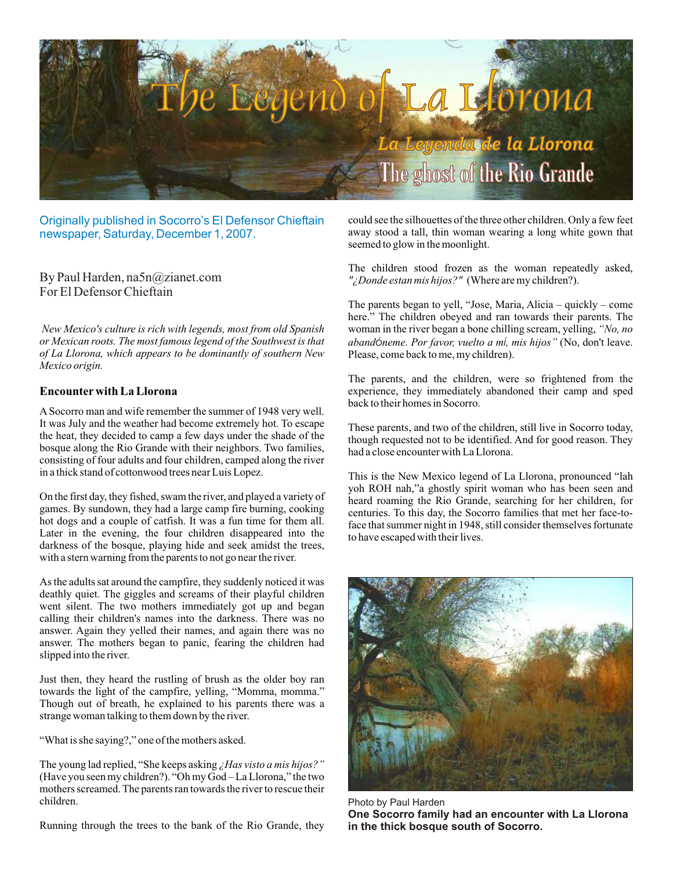

Originally published in Socorro's El Defensor Chieftain newspaper, Saturday, December 1, 2007.

By Paul Harden, na5n@zianet.com For El Defensor Chieftain

*New Mexico's culture is rich with legends, most from old Spanish or Mexican roots. The most famous legend of the Southwest is that of La Llorona, which appears to be dominantly of southern New Mexico origin.*

### **Encounter with La Llorona**

A Socorro man and wife remember the summer of 1948 very well. It was July and the weather had become extremely hot. To escape the heat, they decided to camp a few days under the shade of the bosque along the Rio Grande with their neighbors. Two families, consisting of four adults and four children, camped along the river in a thick stand of cottonwood trees near Luis Lopez.

On the first day, they fished, swam the river, and played a variety of games. By sundown, they had a large camp fire burning, cooking hot dogs and a couple of catfish. It was a fun time for them all. Later in the evening, the four children disappeared into the darkness of the bosque, playing hide and seek amidst the trees, with a stern warning from the parents to not go near the river.

As the adults sat around the campfire, they suddenly noticed it was deathly quiet. The giggles and screams of their playful children went silent. The two mothers immediately got up and began calling their children's names into the darkness. There was no answer. Again they yelled their names, and again there was no answer. The mothers began to panic, fearing the children had slipped into the river.

Just then, they heard the rustling of brush as the older boy ran towards the light of the campfire, yelling, "Momma, momma." Though out of breath, he explained to his parents there was a strange woman talking to them down by the river.

"What is she saying?," one of the mothers asked.

The young lad replied, "She keeps asking *¿Has visto a mis hijos?"* (Have you seen my children?). "Oh my God – La Llorona," the two mothers screamed. The parents ran towards the river to rescue their children.

Running through the trees to the bank of the Rio Grande, they

could see the silhouettes of the three other children. Only a few feet away stood a tall, thin woman wearing a long white gown that seemed to glow in the moonlight.

The children stood frozen as the woman repeatedly asked, *"¿Donde estan mis hijos?"* (Where are my children?).

The parents began to yell, "Jose, Maria, Alicia – quickly – come here." The children obeyed and ran towards their parents. The woman in the river began a bone chilling scream, yelling, *"No, no abandóneme. Por favor, vuelto a mí, mis hijos"* (No, don't leave. Please, come back to me, my children).

The parents, and the children, were so frightened from the experience, they immediately abandoned their camp and sped back to their homes in Socorro.

These parents, and two of the children, still live in Socorro today, though requested not to be identified. And for good reason. They had a close encounter with La Llorona.

This is the New Mexico legend of La Llorona, pronounced "lah yoh ROH nah,"a ghostly spirit woman who has been seen and heard roaming the Rio Grande, searching for her children, for centuries. To this day, the Socorro families that met her face-toface that summer night in 1948, still consider themselves fortunate to have escaped with their lives.



Photo by Paul Harden **One Socorro family had an encounter with La Llorona in the thick bosque south of Socorro.**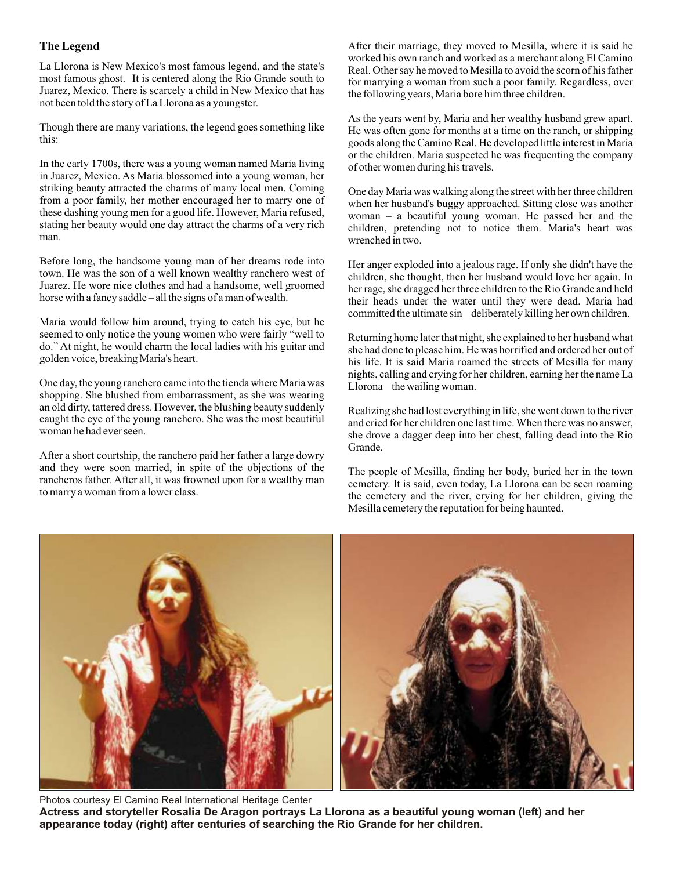# **The Legend**

La Llorona is New Mexico's most famous legend, and the state's most famous ghost. It is centered along the Rio Grande south to Juarez, Mexico. There is scarcely a child in New Mexico that has not been told the story of La Llorona as a youngster.

Though there are many variations, the legend goes something like this:

In the early 1700s, there was a young woman named Maria living in Juarez, Mexico. As Maria blossomed into a young woman, her striking beauty attracted the charms of many local men. Coming from a poor family, her mother encouraged her to marry one of these dashing young men for a good life. However, Maria refused, stating her beauty would one day attract the charms of a very rich man.

Before long, the handsome young man of her dreams rode into town. He was the son of a well known wealthy ranchero west of Juarez. He wore nice clothes and had a handsome, well groomed horse with a fancy saddle – all the signs of a man of wealth.

Maria would follow him around, trying to catch his eye, but he seemed to only notice the young women who were fairly "well to do." At night, he would charm the local ladies with his guitar and golden voice, breaking Maria's heart.

One day, the young ranchero came into the tienda where Maria was shopping. She blushed from embarrassment, as she was wearing an old dirty, tattered dress. However, the blushing beauty suddenly caught the eye of the young ranchero. She was the most beautiful woman he had ever seen.

After a short courtship, the ranchero paid her father a large dowry and they were soon married, in spite of the objections of the rancheros father. After all, it was frowned upon for a wealthy man to marry a woman from a lower class.

After their marriage, they moved to Mesilla, where it is said he worked his own ranch and worked as a merchant along El Camino Real. Other say he moved to Mesilla to avoid the scorn of his father for marrying a woman from such a poor family. Regardless, over the following years, Maria bore him three children.

As the years went by, Maria and her wealthy husband grew apart. He was often gone for months at a time on the ranch, or shipping goods along the Camino Real. He developed little interest in Maria or the children. Maria suspected he was frequenting the company of other women during his travels.

One day Maria was walking along the street with her three children when her husband's buggy approached. Sitting close was another woman – a beautiful young woman. He passed her and the children, pretending not to notice them. Maria's heart was wrenched in two.

Her anger exploded into a jealous rage. If only she didn't have the children, she thought, then her husband would love her again. In her rage, she dragged her three children to the Rio Grande and held their heads under the water until they were dead. Maria had committed the ultimate sin – deliberately killing her own children.

Returning home later that night, she explained to her husband what she had done to please him. He was horrified and ordered her out of his life. It is said Maria roamed the streets of Mesilla for many nights, calling and crying for her children, earning her the name La Llorona – the wailing woman.

Realizing she had lost everything in life, she went down to the river and cried for her children one last time. When there was no answer, she drove a dagger deep into her chest, falling dead into the Rio Grande.

The people of Mesilla, finding her body, buried her in the town cemetery. It is said, even today, La Llorona can be seen roaming the cemetery and the river, crying for her children, giving the Mesilla cemetery the reputation for being haunted.



Photos courtesy El Camino Real International Heritage Center **Actress and storyteller Rosalia De Aragon portrays La Llorona as a beautiful young woman (left) and her appearance today (right) after centuries of searching the Rio Grande for her children.**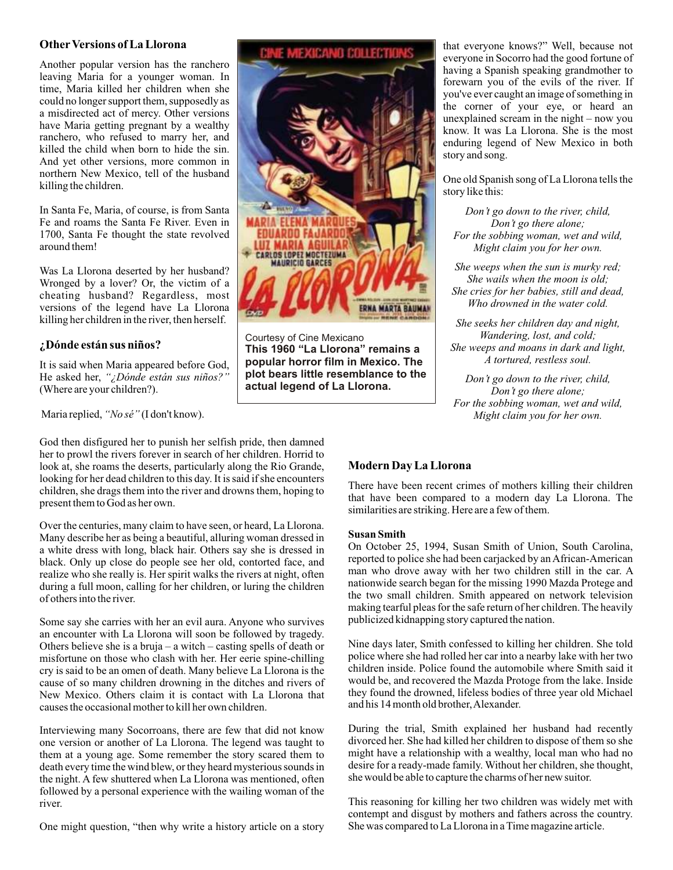## **OtherVersions of La Llorona**

Another popular version has the ranchero leaving Maria for a younger woman. In time, Maria killed her children when she could no longer support them, supposedly as a misdirected act of mercy. Other versions have Maria getting pregnant by a wealthy ranchero, who refused to marry her, and killed the child when born to hide the sin. And yet other versions, more common in northern New Mexico, tell of the husband killing the children.

In Santa Fe, Maria, of course, is from Santa Fe and roams the Santa Fe River. Even in 1700, Santa Fe thought the state revolved around them!

Was La Llorona deserted by her husband? Wronged by a lover? Or, the victim of a cheating husband? Regardless, most versions of the legend have La Llorona killing her children in the river, then herself.

# **¿Dónde están sus niños?**

It is said when Maria appeared before God, He asked her, *"¿Dónde están sus niños?"* (Where are your children?).

Maria replied, *"No sé"* (I don't know).

God then disfigured her to punish her selfish pride, then damned her to prowl the rivers forever in search of her children. Horrid to look at, she roams the deserts, particularly along the Rio Grande, looking for her dead children to this day. It is said if she encounters children, she drags them into the river and drowns them, hoping to present them to God as her own.

Over the centuries, many claim to have seen, or heard, La Llorona. Many describe her as being a beautiful, alluring woman dressed in a white dress with long, black hair. Others say she is dressed in black. Only up close do people see her old, contorted face, and realize who she really is. Her spirit walks the rivers at night, often during a full moon, calling for her children, or luring the children of others into the river.

Some say she carries with her an evil aura. Anyone who survives an encounter with La Llorona will soon be followed by tragedy. Others believe she is a bruja – a witch – casting spells of death or misfortune on those who clash with her. Her eerie spine-chilling cry is said to be an omen of death. Many believe La Llorona is the cause of so many children drowning in the ditches and rivers of New Mexico. Others claim it is contact with La Llorona that causes the occasional mother to kill her own children.

Interviewing many Socorroans, there are few that did not know one version or another of La Llorona. The legend was taught to them at a young age. Some remember the story scared them to death every time the wind blew, or they heard mysterious sounds in the night. A few shuttered when La Llorona was mentioned, often followed by a personal experience with the wailing woman of the river.

One might question, "then why write a history article on a story



Courtesy of Cine Mexicano **This 1960 "La Llorona" remains a popular horror film in Mexico. The plot bears little resemblance to the actual legend of La Llorona.**

that everyone knows?" Well, because not everyone in Socorro had the good fortune of having a Spanish speaking grandmother to forewarn you of the evils of the river. If you've ever caught an image of something in the corner of your eye, or heard an unexplained scream in the night – now you know. It was La Llorona. She is the most enduring legend of New Mexico in both story and song.

One old Spanish song of La Llorona tells the story like this:

*Don't go down to the river, child, Don't go there alone; For the sobbing woman, wet and wild, Might claim you for her own.*

*She weeps when the sun is murky red; She wails when the moon is old; She cries for her babies, still and dead, Who drowned in the water cold.*

*She seeks her children day and night, Wandering, lost, and cold; She weeps and moans in dark and light, A tortured, restless soul.*

*Don't go down to the river, child, Don't go there alone; For the sobbing woman, wet and wild, Might claim you for her own.*

# **Modern Day La Llorona**

There have been recent crimes of mothers killing their children that have been compared to a modern day La Llorona. The similarities are striking. Here are a few of them.

### **Susan Smith**

On October 25, 1994, Susan Smith of Union, South Carolina, reported to police she had been carjacked by an African-American man who drove away with her two children still in the car. A nationwide search began for the missing 1990 Mazda Protege and the two small children. Smith appeared on network television making tearful pleas for the safe return of her children. The heavily publicized kidnapping story captured the nation.

Nine days later, Smith confessed to killing her children. She told police where she had rolled her car into a nearby lake with her two children inside. Police found the automobile where Smith said it would be, and recovered the Mazda Protoge from the lake. Inside they found the drowned, lifeless bodies of three year old Michael and his 14 month old brother, Alexander.

During the trial, Smith explained her husband had recently divorced her. She had killed her children to dispose of them so she might have a relationship with a wealthy, local man who had no desire for a ready-made family. Without her children, she thought, she would be able to capture the charms of her new suitor.

This reasoning for killing her two children was widely met with contempt and disgust by mothers and fathers across the country. She was compared to La Llorona in a Time magazine article.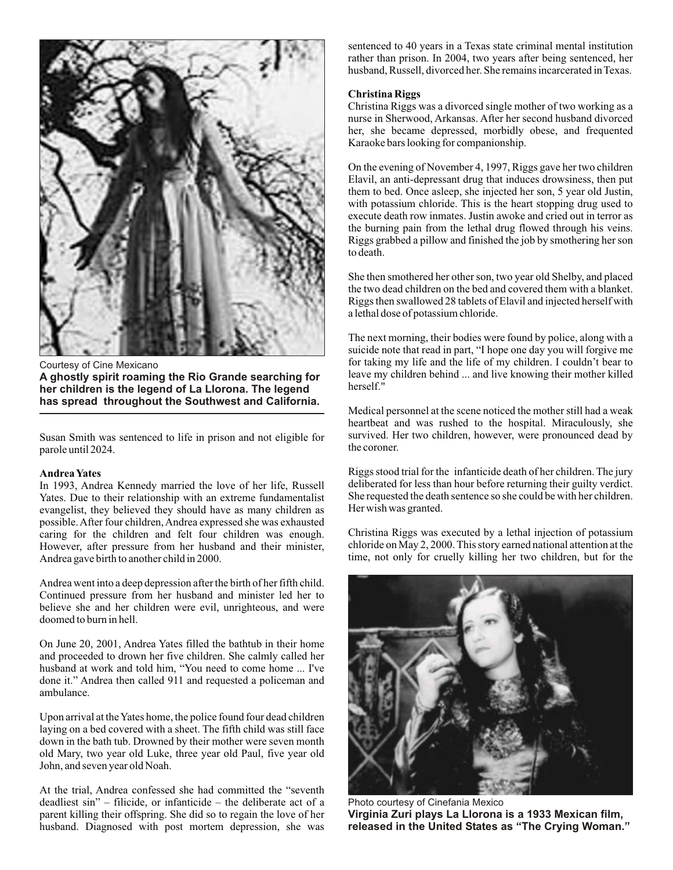

Courtesy of Cine Mexicano **A ghostly spirit roaming the Rio Grande searching for her children is the legend of La Llorona. The legend has spread throughout the Southwest and California.**

Susan Smith was sentenced to life in prison and not eligible for parole until 2024.

#### **Andrea Yates**

In 1993, Andrea Kennedy married the love of her life, Russell Yates. Due to their relationship with an extreme fundamentalist evangelist, they believed they should have as many children as possible. After four children, Andrea expressed she was exhausted caring for the children and felt four children was enough. However, after pressure from her husband and their minister, Andrea gave birth to another child in 2000.

Andrea went into a deep depression after the birth of her fifth child. Continued pressure from her husband and minister led her to believe she and her children were evil, unrighteous, and were doomed to burn in hell.

On June 20, 2001, Andrea Yates filled the bathtub in their home and proceeded to drown her five children. She calmly called her husband at work and told him, "You need to come home ... I've done it." Andrea then called 911 and requested a policeman and ambulance.

Upon arrival at the Yates home, the police found four dead children laying on a bed covered with a sheet. The fifth child was still face down in the bath tub. Drowned by their mother were seven month old Mary, two year old Luke, three year old Paul, five year old John, and seven year old Noah.

At the trial, Andrea confessed she had committed the "seventh deadliest sin" – filicide, or infanticide – the deliberate act of a parent killing their offspring. She did so to regain the love of her husband. Diagnosed with post mortem depression, she was sentenced to 40 years in a Texas state criminal mental institution rather than prison. In 2004, two years after being sentenced, her husband, Russell, divorced her. She remains incarcerated in Texas.

### **Christina Riggs**

Christina Riggs was a divorced single mother of two working as a nurse in Sherwood, Arkansas. After her second husband divorced her, she became depressed, morbidly obese, and frequented Karaoke bars looking for companionship.

On the evening of November 4, 1997, Riggs gave her two children Elavil, an anti-depressant drug that induces drowsiness, then put them to bed. Once asleep, she injected her son, 5 year old Justin, with potassium chloride. This is the heart stopping drug used to execute death row inmates. Justin awoke and cried out in terror as the burning pain from the lethal drug flowed through his veins. Riggs grabbed a pillow and finished the job by smothering her son to death.

She then smothered her other son, two year old Shelby, and placed the two dead children on the bed and covered them with a blanket. Riggs then swallowed 28 tablets of Elavil and injected herself with a lethal dose of potassium chloride.

The next morning, their bodies were found by police, along with a suicide note that read in part, "I hope one day you will forgive me for taking my life and the life of my children. I couldn't bear to leave my children behind ... and live knowing their mother killed herself."

Medical personnel at the scene noticed the mother still had a weak heartbeat and was rushed to the hospital. Miraculously, she survived. Her two children, however, were pronounced dead by the coroner.

Riggs stood trial for the infanticide death of her children. The jury deliberated for less than hour before returning their guilty verdict. She requested the death sentence so she could be with her children. Her wish was granted.

Christina Riggs was executed by a lethal injection of potassium chloride on May 2, 2000. This story earned national attention at the time, not only for cruelly killing her two children, but for the



Photo courtesy of Cinefania Mexico **Virginia Zuri plays La Llorona is a 1933 Mexican film, released in the United States as "The Crying Woman."**